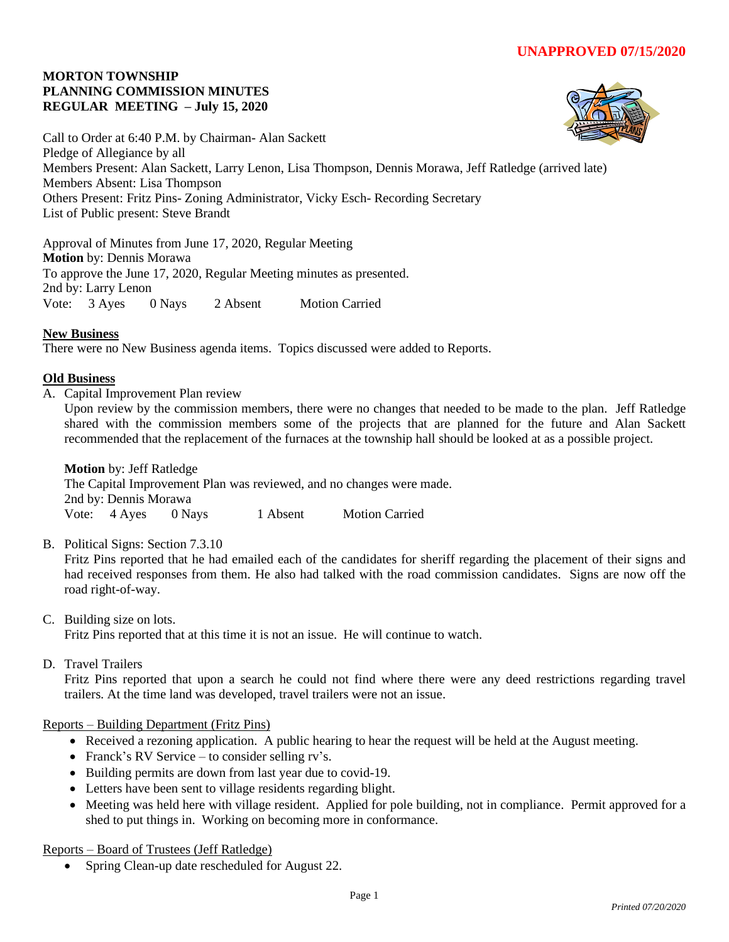### **MORTON TOWNSHIP PLANNING COMMISSION MINUTES REGULAR MEETING – July 15, 2020**



Call to Order at 6:40 P.M. by Chairman- Alan Sackett Pledge of Allegiance by all Members Present: Alan Sackett, Larry Lenon, Lisa Thompson, Dennis Morawa, Jeff Ratledge (arrived late) Members Absent: Lisa Thompson Others Present: Fritz Pins- Zoning Administrator, Vicky Esch- Recording Secretary List of Public present: Steve Brandt

Approval of Minutes from June 17, 2020, Regular Meeting **Motion** by: Dennis Morawa To approve the June 17, 2020, Regular Meeting minutes as presented. 2nd by: Larry Lenon Vote: 3 Ayes 0 Nays 2 Absent Motion Carried

# **New Business**

There were no New Business agenda items. Topics discussed were added to Reports.

### **Old Business**

A. Capital Improvement Plan review

Upon review by the commission members, there were no changes that needed to be made to the plan. Jeff Ratledge shared with the commission members some of the projects that are planned for the future and Alan Sackett recommended that the replacement of the furnaces at the township hall should be looked at as a possible project.

**Motion** by: Jeff Ratledge The Capital Improvement Plan was reviewed, and no changes were made. 2nd by: Dennis Morawa Vote: 4 Ayes 0 Nays 1 Absent Motion Carried

B. Political Signs: Section 7.3.10

Fritz Pins reported that he had emailed each of the candidates for sheriff regarding the placement of their signs and had received responses from them. He also had talked with the road commission candidates. Signs are now off the road right-of-way.

C. Building size on lots.

Fritz Pins reported that at this time it is not an issue. He will continue to watch.

D. Travel Trailers

Fritz Pins reported that upon a search he could not find where there were any deed restrictions regarding travel trailers. At the time land was developed, travel trailers were not an issue.

### Reports – Building Department (Fritz Pins)

- Received a rezoning application. A public hearing to hear the request will be held at the August meeting.
- Franck's RV Service to consider selling rv's.
- Building permits are down from last year due to covid-19.
- Letters have been sent to village residents regarding blight.
- Meeting was held here with village resident. Applied for pole building, not in compliance. Permit approved for a shed to put things in. Working on becoming more in conformance.

Reports – Board of Trustees (Jeff Ratledge)

• Spring Clean-up date rescheduled for August 22.